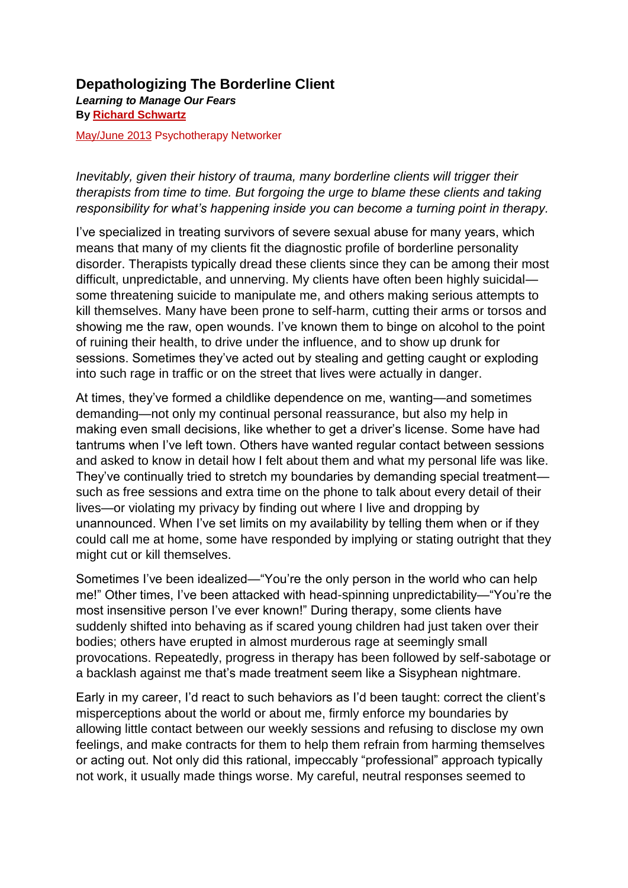**Depathologizing The Borderline Client** *Learning to Manage Our Fears* **By [Richard Schwartz](https://www.psychotherapynetworker.org/author/bio/2399/richard-schwartz)**

[May/June 2013](https://www.psychotherapynetworker.org/magazine/toc/16/tough-customers) Psychotherapy Networker

*Inevitably, given their history of trauma, many borderline clients will trigger their therapists from time to time. But forgoing the urge to blame these clients and taking responsibility for what's happening inside you can become a turning point in therapy.*

I've specialized in treating survivors of severe sexual abuse for many years, which means that many of my clients fit the diagnostic profile of borderline personality disorder. Therapists typically dread these clients since they can be among their most difficult, unpredictable, and unnerving. My clients have often been highly suicidal some threatening suicide to manipulate me, and others making serious attempts to kill themselves. Many have been prone to self-harm, cutting their arms or torsos and showing me the raw, open wounds. I've known them to binge on alcohol to the point of ruining their health, to drive under the influence, and to show up drunk for sessions. Sometimes they've acted out by stealing and getting caught or exploding into such rage in traffic or on the street that lives were actually in danger.

At times, they've formed a childlike dependence on me, wanting—and sometimes demanding—not only my continual personal reassurance, but also my help in making even small decisions, like whether to get a driver's license. Some have had tantrums when I've left town. Others have wanted regular contact between sessions and asked to know in detail how I felt about them and what my personal life was like. They've continually tried to stretch my boundaries by demanding special treatment such as free sessions and extra time on the phone to talk about every detail of their lives—or violating my privacy by finding out where I live and dropping by unannounced. When I've set limits on my availability by telling them when or if they could call me at home, some have responded by implying or stating outright that they might cut or kill themselves.

Sometimes I've been idealized—"You're the only person in the world who can help me!" Other times, I've been attacked with head-spinning unpredictability—"You're the most insensitive person I've ever known!" During therapy, some clients have suddenly shifted into behaving as if scared young children had just taken over their bodies; others have erupted in almost murderous rage at seemingly small provocations. Repeatedly, progress in therapy has been followed by self-sabotage or a backlash against me that's made treatment seem like a Sisyphean nightmare.

Early in my career, I'd react to such behaviors as I'd been taught: correct the client's misperceptions about the world or about me, firmly enforce my boundaries by allowing little contact between our weekly sessions and refusing to disclose my own feelings, and make contracts for them to help them refrain from harming themselves or acting out. Not only did this rational, impeccably "professional" approach typically not work, it usually made things worse. My careful, neutral responses seemed to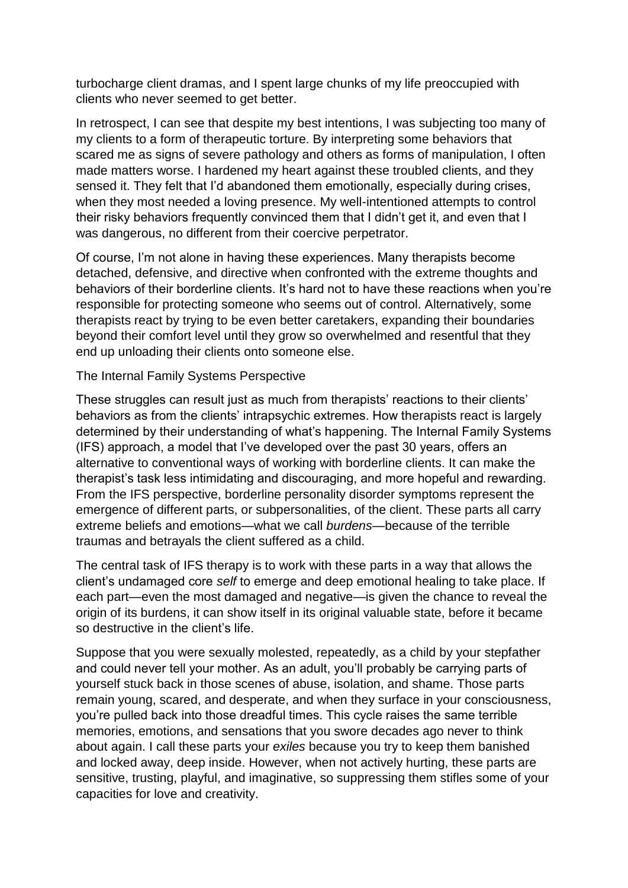turbocharge client dramas, and I spent large chunks of my life preoccupied with clients who never seemed to get better.

In retrospect, I can see that despite my best intentions, I was subjecting too many of my clients to a form of therapeutic torture. By interpreting some behaviors that scared me as signs of severe pathology and others as forms of manipulation, I often made matters worse. I hardened my heart against these troubled clients, and they sensed it. They felt that I'd abandoned them emotionally, especially during crises, when they most needed a loving presence. My well-intentioned attempts to control their risky behaviors frequently convinced them that I didn't get it, and even that I was dangerous, no different from their coercive perpetrator.

Of course, I'm not alone in having these experiences. Many therapists become detached, defensive, and directive when confronted with the extreme thoughts and behaviors of their borderline clients. It's hard not to have these reactions when you're responsible for protecting someone who seems out of control. Alternatively, some therapists react by trying to be even better caretakers, expanding their boundaries beyond their comfort level until they grow so overwhelmed and resentful that they end up unloading their clients onto someone else.

## The Internal Family Systems Perspective

These struggles can result just as much from therapists' reactions to their clients' behaviors as from the clients' intrapsychic extremes. How therapists react is largely determined by their understanding of what's happening. The Internal Family Systems (IFS) approach, a model that I've developed over the past 30 years, offers an alternative to conventional ways of working with borderline clients. It can make the therapist's task less intimidating and discouraging, and more hopeful and rewarding. From the IFS perspective, borderline personality disorder symptoms represent the emergence of different parts, or subpersonalities, of the client. These parts all carry extreme beliefs and emotions—what we call *burdens*—because of the terrible traumas and betrayals the client suffered as a child.

The central task of IFS therapy is to work with these parts in a way that allows the client's undamaged core *self* to emerge and deep emotional healing to take place. If each part—even the most damaged and negative—is given the chance to reveal the origin of its burdens, it can show itself in its original valuable state, before it became so destructive in the client's life.

Suppose that you were sexually molested, repeatedly, as a child by your stepfather and could never tell your mother. As an adult, you'll probably be carrying parts of yourself stuck back in those scenes of abuse, isolation, and shame. Those parts remain young, scared, and desperate, and when they surface in your consciousness, you're pulled back into those dreadful times. This cycle raises the same terrible memories, emotions, and sensations that you swore decades ago never to think about again. I call these parts your *exiles* because you try to keep them banished and locked away, deep inside. However, when not actively hurting, these parts are sensitive, trusting, playful, and imaginative, so suppressing them stifles some of your capacities for love and creativity.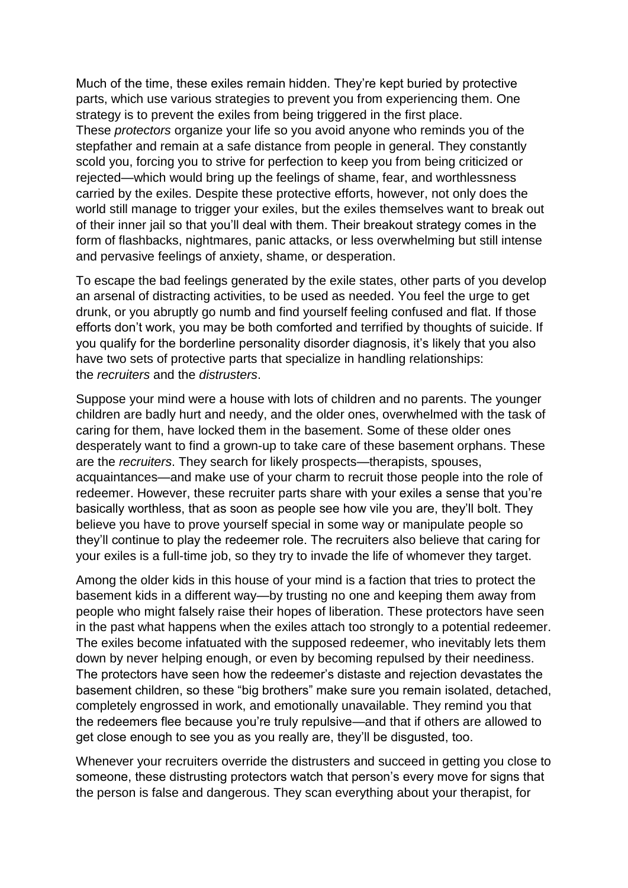Much of the time, these exiles remain hidden. They're kept buried by protective parts, which use various strategies to prevent you from experiencing them. One strategy is to prevent the exiles from being triggered in the first place. These *protectors* organize your life so you avoid anyone who reminds you of the stepfather and remain at a safe distance from people in general. They constantly scold you, forcing you to strive for perfection to keep you from being criticized or rejected—which would bring up the feelings of shame, fear, and worthlessness carried by the exiles. Despite these protective efforts, however, not only does the world still manage to trigger your exiles, but the exiles themselves want to break out of their inner jail so that you'll deal with them. Their breakout strategy comes in the form of flashbacks, nightmares, panic attacks, or less overwhelming but still intense and pervasive feelings of anxiety, shame, or desperation.

To escape the bad feelings generated by the exile states, other parts of you develop an arsenal of distracting activities, to be used as needed. You feel the urge to get drunk, or you abruptly go numb and find yourself feeling confused and flat. If those efforts don't work, you may be both comforted and terrified by thoughts of suicide. If you qualify for the borderline personality disorder diagnosis, it's likely that you also have two sets of protective parts that specialize in handling relationships: the *recruiters* and the *distrusters*.

Suppose your mind were a house with lots of children and no parents. The younger children are badly hurt and needy, and the older ones, overwhelmed with the task of caring for them, have locked them in the basement. Some of these older ones desperately want to find a grown-up to take care of these basement orphans. These are the *recruiters*. They search for likely prospects—therapists, spouses, acquaintances—and make use of your charm to recruit those people into the role of redeemer. However, these recruiter parts share with your exiles a sense that you're basically worthless, that as soon as people see how vile you are, they'll bolt. They believe you have to prove yourself special in some way or manipulate people so they'll continue to play the redeemer role. The recruiters also believe that caring for your exiles is a full-time job, so they try to invade the life of whomever they target.

Among the older kids in this house of your mind is a faction that tries to protect the basement kids in a different way—by trusting no one and keeping them away from people who might falsely raise their hopes of liberation. These protectors have seen in the past what happens when the exiles attach too strongly to a potential redeemer. The exiles become infatuated with the supposed redeemer, who inevitably lets them down by never helping enough, or even by becoming repulsed by their neediness. The protectors have seen how the redeemer's distaste and rejection devastates the basement children, so these "big brothers" make sure you remain isolated, detached, completely engrossed in work, and emotionally unavailable. They remind you that the redeemers flee because you're truly repulsive—and that if others are allowed to get close enough to see you as you really are, they'll be disgusted, too.

Whenever your recruiters override the distrusters and succeed in getting you close to someone, these distrusting protectors watch that person's every move for signs that the person is false and dangerous. They scan everything about your therapist, for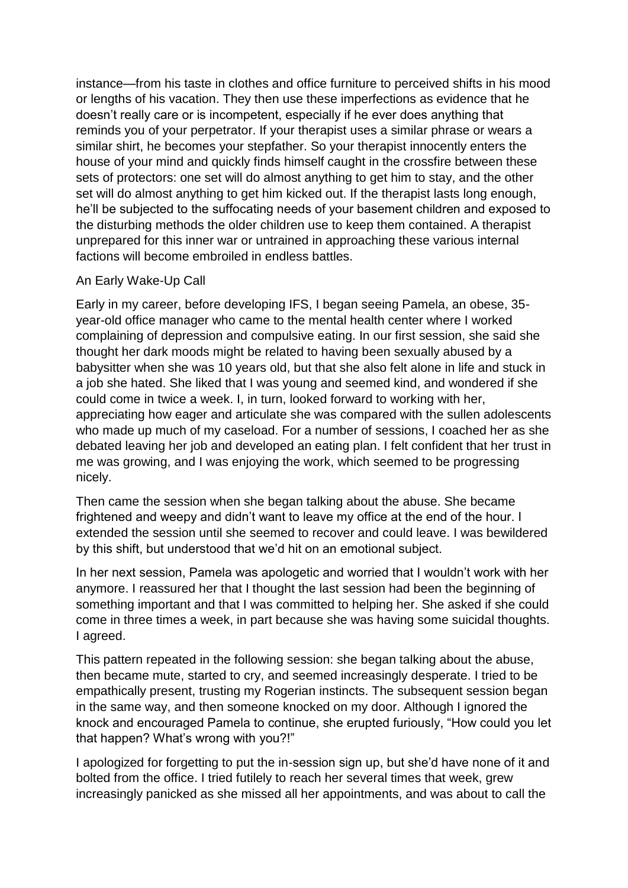instance—from his taste in clothes and office furniture to perceived shifts in his mood or lengths of his vacation. They then use these imperfections as evidence that he doesn't really care or is incompetent, especially if he ever does anything that reminds you of your perpetrator. If your therapist uses a similar phrase or wears a similar shirt, he becomes your stepfather. So your therapist innocently enters the house of your mind and quickly finds himself caught in the crossfire between these sets of protectors: one set will do almost anything to get him to stay, and the other set will do almost anything to get him kicked out. If the therapist lasts long enough, he'll be subjected to the suffocating needs of your basement children and exposed to the disturbing methods the older children use to keep them contained. A therapist unprepared for this inner war or untrained in approaching these various internal factions will become embroiled in endless battles.

## An Early Wake-Up Call

Early in my career, before developing IFS, I began seeing Pamela, an obese, 35 year-old office manager who came to the mental health center where I worked complaining of depression and compulsive eating. In our first session, she said she thought her dark moods might be related to having been sexually abused by a babysitter when she was 10 years old, but that she also felt alone in life and stuck in a job she hated. She liked that I was young and seemed kind, and wondered if she could come in twice a week. I, in turn, looked forward to working with her, appreciating how eager and articulate she was compared with the sullen adolescents who made up much of my caseload. For a number of sessions, I coached her as she debated leaving her job and developed an eating plan. I felt confident that her trust in me was growing, and I was enjoying the work, which seemed to be progressing nicely.

Then came the session when she began talking about the abuse. She became frightened and weepy and didn't want to leave my office at the end of the hour. I extended the session until she seemed to recover and could leave. I was bewildered by this shift, but understood that we'd hit on an emotional subject.

In her next session, Pamela was apologetic and worried that I wouldn't work with her anymore. I reassured her that I thought the last session had been the beginning of something important and that I was committed to helping her. She asked if she could come in three times a week, in part because she was having some suicidal thoughts. I agreed.

This pattern repeated in the following session: she began talking about the abuse, then became mute, started to cry, and seemed increasingly desperate. I tried to be empathically present, trusting my Rogerian instincts. The subsequent session began in the same way, and then someone knocked on my door. Although I ignored the knock and encouraged Pamela to continue, she erupted furiously, "How could you let that happen? What's wrong with you?!"

I apologized for forgetting to put the in-session sign up, but she'd have none of it and bolted from the office. I tried futilely to reach her several times that week, grew increasingly panicked as she missed all her appointments, and was about to call the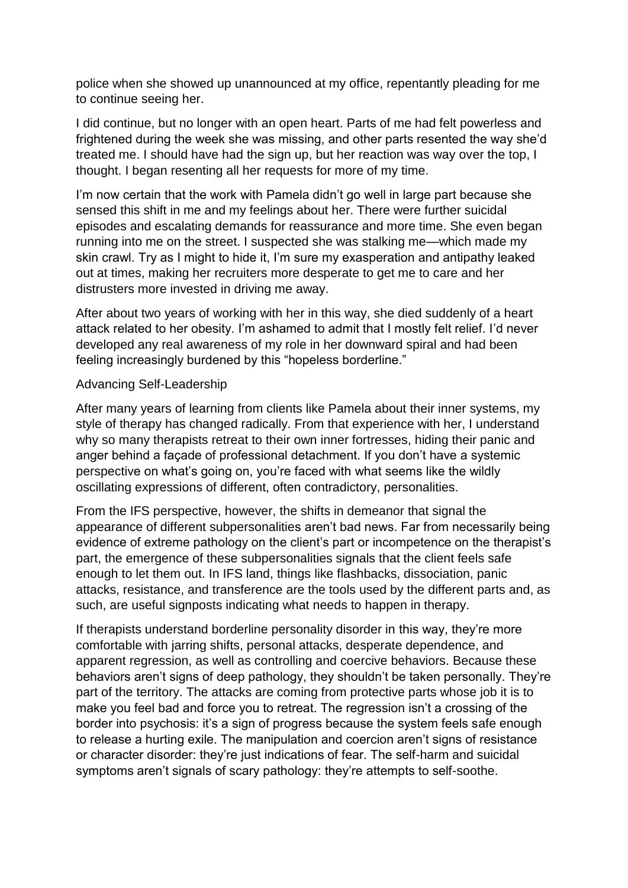police when she showed up unannounced at my office, repentantly pleading for me to continue seeing her.

I did continue, but no longer with an open heart. Parts of me had felt powerless and frightened during the week she was missing, and other parts resented the way she'd treated me. I should have had the sign up, but her reaction was way over the top, I thought. I began resenting all her requests for more of my time.

I'm now certain that the work with Pamela didn't go well in large part because she sensed this shift in me and my feelings about her. There were further suicidal episodes and escalating demands for reassurance and more time. She even began running into me on the street. I suspected she was stalking me—which made my skin crawl. Try as I might to hide it, I'm sure my exasperation and antipathy leaked out at times, making her recruiters more desperate to get me to care and her distrusters more invested in driving me away.

After about two years of working with her in this way, she died suddenly of a heart attack related to her obesity. I'm ashamed to admit that I mostly felt relief. I'd never developed any real awareness of my role in her downward spiral and had been feeling increasingly burdened by this "hopeless borderline."

## Advancing Self-Leadership

After many years of learning from clients like Pamela about their inner systems, my style of therapy has changed radically. From that experience with her, I understand why so many therapists retreat to their own inner fortresses, hiding their panic and anger behind a façade of professional detachment. If you don't have a systemic perspective on what's going on, you're faced with what seems like the wildly oscillating expressions of different, often contradictory, personalities.

From the IFS perspective, however, the shifts in demeanor that signal the appearance of different subpersonalities aren't bad news. Far from necessarily being evidence of extreme pathology on the client's part or incompetence on the therapist's part, the emergence of these subpersonalities signals that the client feels safe enough to let them out. In IFS land, things like flashbacks, dissociation, panic attacks, resistance, and transference are the tools used by the different parts and, as such, are useful signposts indicating what needs to happen in therapy.

If therapists understand borderline personality disorder in this way, they're more comfortable with jarring shifts, personal attacks, desperate dependence, and apparent regression, as well as controlling and coercive behaviors. Because these behaviors aren't signs of deep pathology, they shouldn't be taken personally. They're part of the territory. The attacks are coming from protective parts whose job it is to make you feel bad and force you to retreat. The regression isn't a crossing of the border into psychosis: it's a sign of progress because the system feels safe enough to release a hurting exile. The manipulation and coercion aren't signs of resistance or character disorder: they're just indications of fear. The self-harm and suicidal symptoms aren't signals of scary pathology: they're attempts to self-soothe.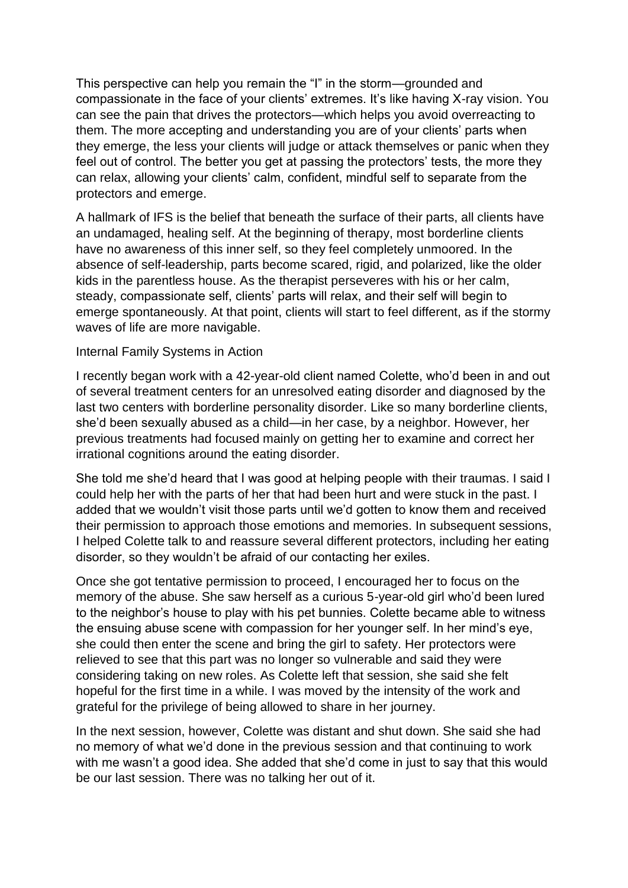This perspective can help you remain the "I" in the storm—grounded and compassionate in the face of your clients' extremes. It's like having X-ray vision. You can see the pain that drives the protectors—which helps you avoid overreacting to them. The more accepting and understanding you are of your clients' parts when they emerge, the less your clients will judge or attack themselves or panic when they feel out of control. The better you get at passing the protectors' tests, the more they can relax, allowing your clients' calm, confident, mindful self to separate from the protectors and emerge.

A hallmark of IFS is the belief that beneath the surface of their parts, all clients have an undamaged, healing self. At the beginning of therapy, most borderline clients have no awareness of this inner self, so they feel completely unmoored. In the absence of self-leadership, parts become scared, rigid, and polarized, like the older kids in the parentless house. As the therapist perseveres with his or her calm, steady, compassionate self, clients' parts will relax, and their self will begin to emerge spontaneously. At that point, clients will start to feel different, as if the stormy waves of life are more navigable.

## Internal Family Systems in Action

I recently began work with a 42-year-old client named Colette, who'd been in and out of several treatment centers for an unresolved eating disorder and diagnosed by the last two centers with borderline personality disorder. Like so many borderline clients, she'd been sexually abused as a child—in her case, by a neighbor. However, her previous treatments had focused mainly on getting her to examine and correct her irrational cognitions around the eating disorder.

She told me she'd heard that I was good at helping people with their traumas. I said I could help her with the parts of her that had been hurt and were stuck in the past. I added that we wouldn't visit those parts until we'd gotten to know them and received their permission to approach those emotions and memories. In subsequent sessions, I helped Colette talk to and reassure several different protectors, including her eating disorder, so they wouldn't be afraid of our contacting her exiles.

Once she got tentative permission to proceed, I encouraged her to focus on the memory of the abuse. She saw herself as a curious 5-year-old girl who'd been lured to the neighbor's house to play with his pet bunnies. Colette became able to witness the ensuing abuse scene with compassion for her younger self. In her mind's eye, she could then enter the scene and bring the girl to safety. Her protectors were relieved to see that this part was no longer so vulnerable and said they were considering taking on new roles. As Colette left that session, she said she felt hopeful for the first time in a while. I was moved by the intensity of the work and grateful for the privilege of being allowed to share in her journey.

In the next session, however, Colette was distant and shut down. She said she had no memory of what we'd done in the previous session and that continuing to work with me wasn't a good idea. She added that she'd come in just to say that this would be our last session. There was no talking her out of it.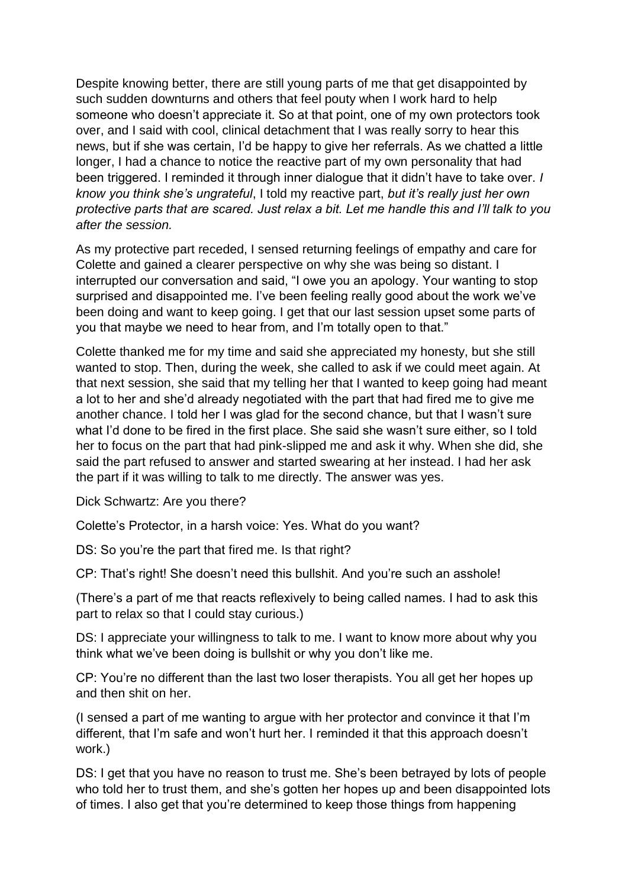Despite knowing better, there are still young parts of me that get disappointed by such sudden downturns and others that feel pouty when I work hard to help someone who doesn't appreciate it. So at that point, one of my own protectors took over, and I said with cool, clinical detachment that I was really sorry to hear this news, but if she was certain, I'd be happy to give her referrals. As we chatted a little longer, I had a chance to notice the reactive part of my own personality that had been triggered. I reminded it through inner dialogue that it didn't have to take over. *I know you think she's ungrateful*, I told my reactive part, *but it's really just her own protective parts that are scared. Just relax a bit. Let me handle this and I'll talk to you after the session.*

As my protective part receded, I sensed returning feelings of empathy and care for Colette and gained a clearer perspective on why she was being so distant. I interrupted our conversation and said, "I owe you an apology. Your wanting to stop surprised and disappointed me. I've been feeling really good about the work we've been doing and want to keep going. I get that our last session upset some parts of you that maybe we need to hear from, and I'm totally open to that."

Colette thanked me for my time and said she appreciated my honesty, but she still wanted to stop. Then, during the week, she called to ask if we could meet again. At that next session, she said that my telling her that I wanted to keep going had meant a lot to her and she'd already negotiated with the part that had fired me to give me another chance. I told her I was glad for the second chance, but that I wasn't sure what I'd done to be fired in the first place. She said she wasn't sure either, so I told her to focus on the part that had pink-slipped me and ask it why. When she did, she said the part refused to answer and started swearing at her instead. I had her ask the part if it was willing to talk to me directly. The answer was yes.

Dick Schwartz: Are you there?

Colette's Protector, in a harsh voice: Yes. What do you want?

DS: So you're the part that fired me. Is that right?

CP: That's right! She doesn't need this bullshit. And you're such an asshole!

(There's a part of me that reacts reflexively to being called names. I had to ask this part to relax so that I could stay curious.)

DS: I appreciate your willingness to talk to me. I want to know more about why you think what we've been doing is bullshit or why you don't like me.

CP: You're no different than the last two loser therapists. You all get her hopes up and then shit on her.

(I sensed a part of me wanting to argue with her protector and convince it that I'm different, that I'm safe and won't hurt her. I reminded it that this approach doesn't work.)

DS: I get that you have no reason to trust me. She's been betrayed by lots of people who told her to trust them, and she's gotten her hopes up and been disappointed lots of times. I also get that you're determined to keep those things from happening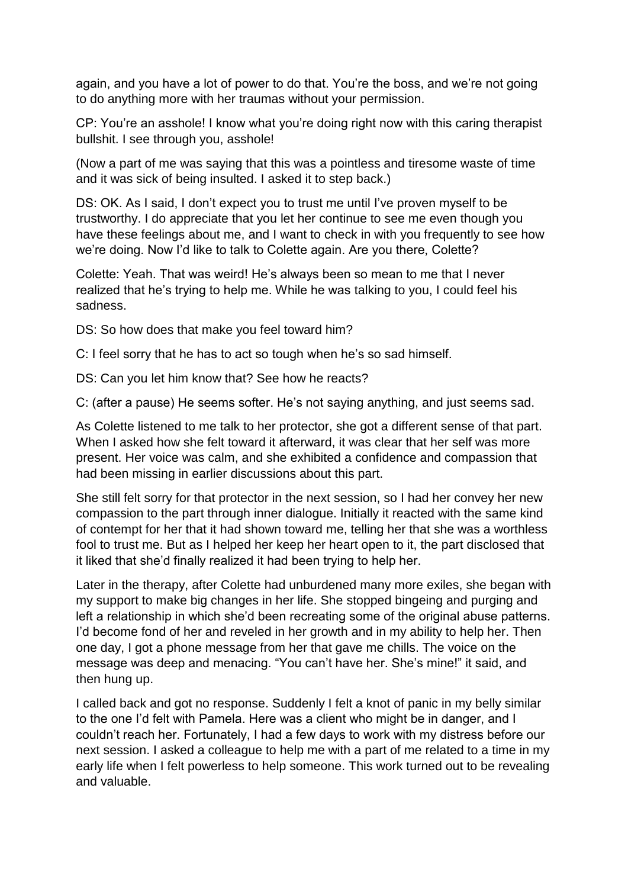again, and you have a lot of power to do that. You're the boss, and we're not going to do anything more with her traumas without your permission.

CP: You're an asshole! I know what you're doing right now with this caring therapist bullshit. I see through you, asshole!

(Now a part of me was saying that this was a pointless and tiresome waste of time and it was sick of being insulted. I asked it to step back.)

DS: OK. As I said, I don't expect you to trust me until I've proven myself to be trustworthy. I do appreciate that you let her continue to see me even though you have these feelings about me, and I want to check in with you frequently to see how we're doing. Now I'd like to talk to Colette again. Are you there, Colette?

Colette: Yeah. That was weird! He's always been so mean to me that I never realized that he's trying to help me. While he was talking to you, I could feel his sadness.

DS: So how does that make you feel toward him?

C: I feel sorry that he has to act so tough when he's so sad himself.

DS: Can you let him know that? See how he reacts?

C: (after a pause) He seems softer. He's not saying anything, and just seems sad.

As Colette listened to me talk to her protector, she got a different sense of that part. When I asked how she felt toward it afterward, it was clear that her self was more present. Her voice was calm, and she exhibited a confidence and compassion that had been missing in earlier discussions about this part.

She still felt sorry for that protector in the next session, so I had her convey her new compassion to the part through inner dialogue. Initially it reacted with the same kind of contempt for her that it had shown toward me, telling her that she was a worthless fool to trust me. But as I helped her keep her heart open to it, the part disclosed that it liked that she'd finally realized it had been trying to help her.

Later in the therapy, after Colette had unburdened many more exiles, she began with my support to make big changes in her life. She stopped bingeing and purging and left a relationship in which she'd been recreating some of the original abuse patterns. I'd become fond of her and reveled in her growth and in my ability to help her. Then one day, I got a phone message from her that gave me chills. The voice on the message was deep and menacing. "You can't have her. She's mine!" it said, and then hung up.

I called back and got no response. Suddenly I felt a knot of panic in my belly similar to the one I'd felt with Pamela. Here was a client who might be in danger, and I couldn't reach her. Fortunately, I had a few days to work with my distress before our next session. I asked a colleague to help me with a part of me related to a time in my early life when I felt powerless to help someone. This work turned out to be revealing and valuable.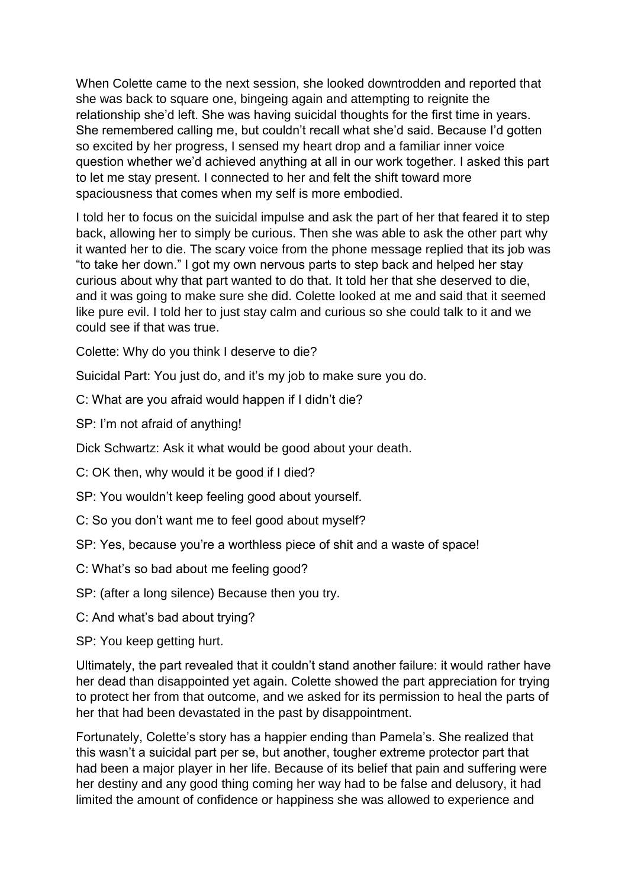When Colette came to the next session, she looked downtrodden and reported that she was back to square one, bingeing again and attempting to reignite the relationship she'd left. She was having suicidal thoughts for the first time in years. She remembered calling me, but couldn't recall what she'd said. Because I'd gotten so excited by her progress, I sensed my heart drop and a familiar inner voice question whether we'd achieved anything at all in our work together. I asked this part to let me stay present. I connected to her and felt the shift toward more spaciousness that comes when my self is more embodied.

I told her to focus on the suicidal impulse and ask the part of her that feared it to step back, allowing her to simply be curious. Then she was able to ask the other part why it wanted her to die. The scary voice from the phone message replied that its job was "to take her down." I got my own nervous parts to step back and helped her stay curious about why that part wanted to do that. It told her that she deserved to die, and it was going to make sure she did. Colette looked at me and said that it seemed like pure evil. I told her to just stay calm and curious so she could talk to it and we could see if that was true.

Colette: Why do you think I deserve to die?

Suicidal Part: You just do, and it's my job to make sure you do.

C: What are you afraid would happen if I didn't die?

SP: I'm not afraid of anything!

Dick Schwartz: Ask it what would be good about your death.

C: OK then, why would it be good if I died?

SP: You wouldn't keep feeling good about yourself.

- C: So you don't want me to feel good about myself?
- SP: Yes, because you're a worthless piece of shit and a waste of space!
- C: What's so bad about me feeling good?
- SP: (after a long silence) Because then you try.
- C: And what's bad about trying?

SP: You keep getting hurt.

Ultimately, the part revealed that it couldn't stand another failure: it would rather have her dead than disappointed yet again. Colette showed the part appreciation for trying to protect her from that outcome, and we asked for its permission to heal the parts of her that had been devastated in the past by disappointment.

Fortunately, Colette's story has a happier ending than Pamela's. She realized that this wasn't a suicidal part per se, but another, tougher extreme protector part that had been a major player in her life. Because of its belief that pain and suffering were her destiny and any good thing coming her way had to be false and delusory, it had limited the amount of confidence or happiness she was allowed to experience and